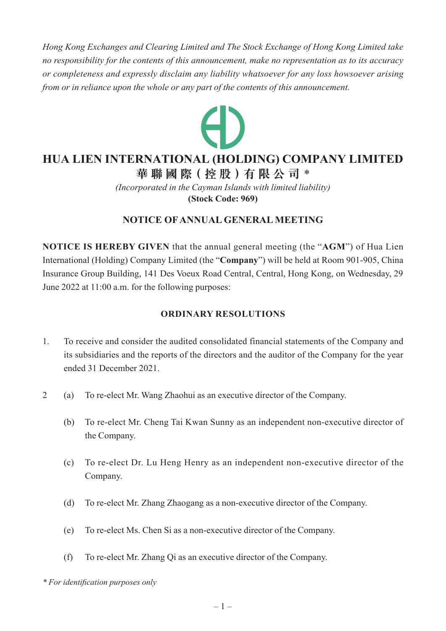*Hong Kong Exchanges and Clearing Limited and The Stock Exchange of Hong Kong Limited take no responsibility for the contents of this announcement, make no representation as to its accuracy or completeness and expressly disclaim any liability whatsoever for any loss howsoever arising from or in reliance upon the whole or any part of the contents of this announcement.*



# **HUA LIEN INTERNATIONAL (HOLDING) COMPANY LIMITED**

**華 聯 國 際( 控 股 )有 限 公 司** \*

*(Incorporated in the Cayman Islands with limited liability)* **(Stock Code: 969)**

## **NOTICE OF ANNUAL GENERAL MEETING**

**NOTICE IS HEREBY GIVEN** that the annual general meeting (the "**AGM**") of Hua Lien International (Holding) Company Limited (the "**Company**") will be held at Room 901-905, China Insurance Group Building, 141 Des Voeux Road Central, Central, Hong Kong, on Wednesday, 29 June 2022 at 11:00 a.m. for the following purposes:

### **ORDINARY RESOLUTIONS**

- 1. To receive and consider the audited consolidated financial statements of the Company and its subsidiaries and the reports of the directors and the auditor of the Company for the year ended 31 December 2021.
- 2 (a) To re-elect Mr. Wang Zhaohui as an executive director of the Company.
	- (b) To re-elect Mr. Cheng Tai Kwan Sunny as an independent non-executive director of the Company.
	- (c) To re-elect Dr. Lu Heng Henry as an independent non-executive director of the Company.
	- (d) To re-elect Mr. Zhang Zhaogang as a non-executive director of the Company.
	- (e) To re-elect Ms. Chen Si as a non-executive director of the Company.
	- (f) To re-elect Mr. Zhang Qi as an executive director of the Company.

*\* For identification purposes only*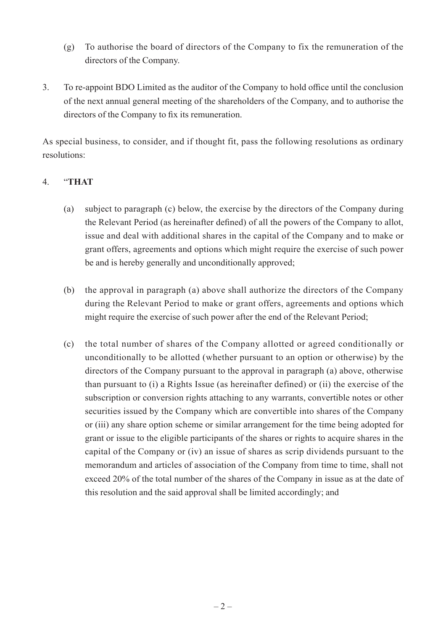- (g) To authorise the board of directors of the Company to fix the remuneration of the directors of the Company.
- 3. To re-appoint BDO Limited as the auditor of the Company to hold office until the conclusion of the next annual general meeting of the shareholders of the Company, and to authorise the directors of the Company to fix its remuneration.

As special business, to consider, and if thought fit, pass the following resolutions as ordinary resolutions:

#### 4. "**THAT**

- (a) subject to paragraph (c) below, the exercise by the directors of the Company during the Relevant Period (as hereinafter defined) of all the powers of the Company to allot, issue and deal with additional shares in the capital of the Company and to make or grant offers, agreements and options which might require the exercise of such power be and is hereby generally and unconditionally approved;
- (b) the approval in paragraph (a) above shall authorize the directors of the Company during the Relevant Period to make or grant offers, agreements and options which might require the exercise of such power after the end of the Relevant Period;
- (c) the total number of shares of the Company allotted or agreed conditionally or unconditionally to be allotted (whether pursuant to an option or otherwise) by the directors of the Company pursuant to the approval in paragraph (a) above, otherwise than pursuant to (i) a Rights Issue (as hereinafter defined) or (ii) the exercise of the subscription or conversion rights attaching to any warrants, convertible notes or other securities issued by the Company which are convertible into shares of the Company or (iii) any share option scheme or similar arrangement for the time being adopted for grant or issue to the eligible participants of the shares or rights to acquire shares in the capital of the Company or (iv) an issue of shares as scrip dividends pursuant to the memorandum and articles of association of the Company from time to time, shall not exceed 20% of the total number of the shares of the Company in issue as at the date of this resolution and the said approval shall be limited accordingly; and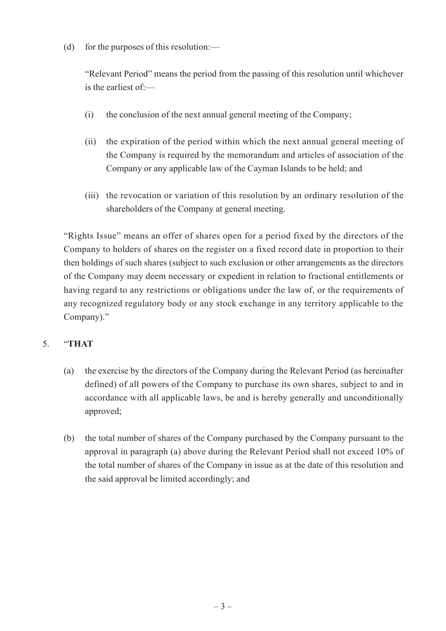(d) for the purposes of this resolution:—

"Relevant Period" means the period from the passing of this resolution until whichever is the earliest of:—

- (i) the conclusion of the next annual general meeting of the Company;
- (ii) the expiration of the period within which the next annual general meeting of the Company is required by the memorandum and articles of association of the Company or any applicable law of the Cayman Islands to be held; and
- (iii) the revocation or variation of this resolution by an ordinary resolution of the shareholders of the Company at general meeting.

"Rights Issue" means an offer of shares open for a period fixed by the directors of the Company to holders of shares on the register on a fixed record date in proportion to their then holdings of such shares (subject to such exclusion or other arrangements as the directors of the Company may deem necessary or expedient in relation to fractional entitlements or having regard to any restrictions or obligations under the law of, or the requirements of any recognized regulatory body or any stock exchange in any territory applicable to the Company)."

#### 5. "**THAT**

- (a) the exercise by the directors of the Company during the Relevant Period (as hereinafter defined) of all powers of the Company to purchase its own shares, subject to and in accordance with all applicable laws, be and is hereby generally and unconditionally approved;
- (b) the total number of shares of the Company purchased by the Company pursuant to the approval in paragraph (a) above during the Relevant Period shall not exceed 10% of the total number of shares of the Company in issue as at the date of this resolution and the said approval be limited accordingly; and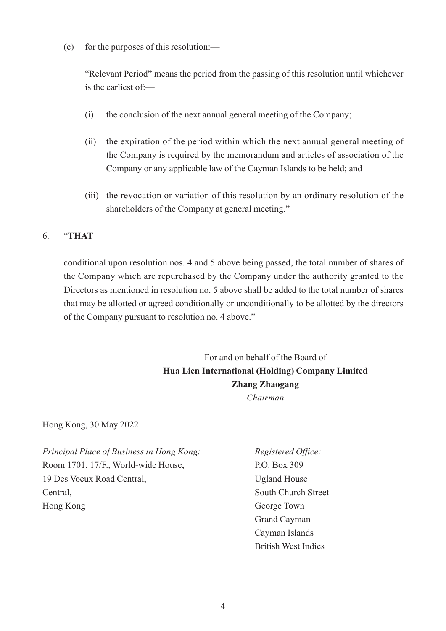(c) for the purposes of this resolution:—

"Relevant Period" means the period from the passing of this resolution until whichever is the earliest of:—

- (i) the conclusion of the next annual general meeting of the Company;
- (ii) the expiration of the period within which the next annual general meeting of the Company is required by the memorandum and articles of association of the Company or any applicable law of the Cayman Islands to be held; and
- (iii) the revocation or variation of this resolution by an ordinary resolution of the shareholders of the Company at general meeting."

### 6. "**THAT**

conditional upon resolution nos. 4 and 5 above being passed, the total number of shares of the Company which are repurchased by the Company under the authority granted to the Directors as mentioned in resolution no. 5 above shall be added to the total number of shares that may be allotted or agreed conditionally or unconditionally to be allotted by the directors of the Company pursuant to resolution no. 4 above."

> For and on behalf of the Board of **Hua Lien International (Holding) Company Limited Zhang Zhaogang** *Chairman*

Hong Kong, 30 May 2022

*Principal Place of Business in Hong Kong: Registered Office:* Room 1701, 17/F., World-wide House, P.O. Box 309 19 Des Voeux Road Central, and Ugland House Central, South Church Street Hong Kong George Town

Grand Cayman Cayman Islands British West Indies